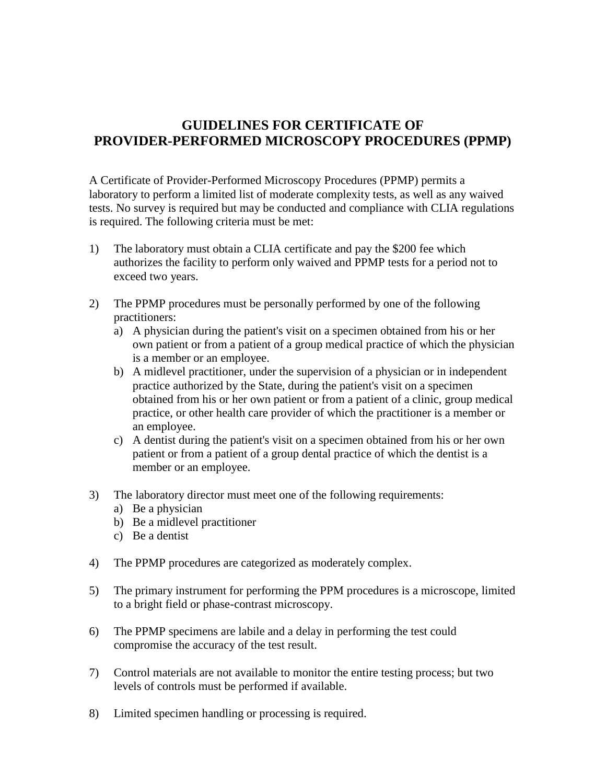## **GUIDELINES FOR CERTIFICATE OF PROVIDER-PERFORMED MICROSCOPY PROCEDURES (PPMP)**

A Certificate of Provider-Performed Microscopy Procedures (PPMP) permits a laboratory to perform a limited list of moderate complexity tests, as well as any waived tests. No survey is required but may be conducted and compliance with CLIA regulations is required. The following criteria must be met:

- 1) The laboratory must obtain a CLIA certificate and pay the \$200 fee which authorizes the facility to perform only waived and PPMP tests for a period not to exceed two years.
- 2) The PPMP procedures must be personally performed by one of the following practitioners:
	- a) A physician during the patient's visit on a specimen obtained from his or her own patient or from a patient of a group medical practice of which the physician is a member or an employee.
	- b) A midlevel practitioner, under the supervision of a physician or in independent practice authorized by the State, during the patient's visit on a specimen obtained from his or her own patient or from a patient of a clinic, group medical practice, or other health care provider of which the practitioner is a member or an employee.
	- c) A dentist during the patient's visit on a specimen obtained from his or her own patient or from a patient of a group dental practice of which the dentist is a member or an employee.
- 3) The laboratory director must meet one of the following requirements:
	- a) Be a physician
	- b) Be a midlevel practitioner
	- c) Be a dentist
- 4) The PPMP procedures are categorized as moderately complex.
- 5) The primary instrument for performing the PPM procedures is a microscope, limited to a bright field or phase-contrast microscopy.
- 6) The PPMP specimens are labile and a delay in performing the test could compromise the accuracy of the test result.
- 7) Control materials are not available to monitor the entire testing process; but two levels of controls must be performed if available.
- 8) Limited specimen handling or processing is required.